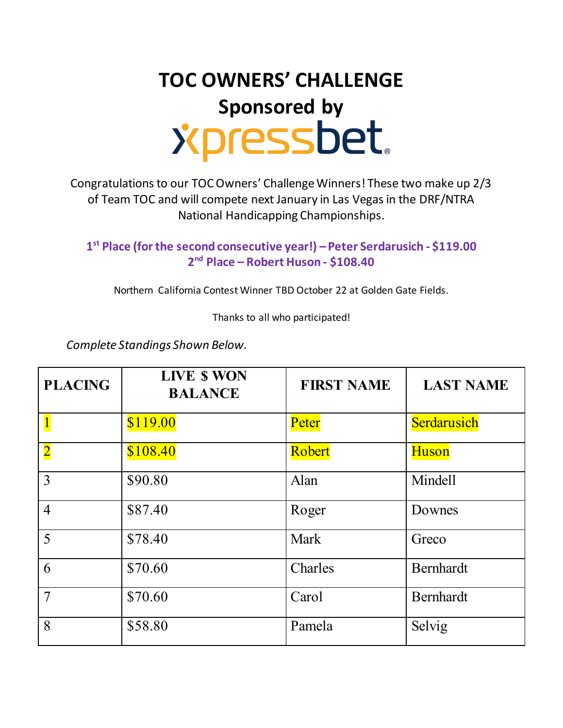## **TOC OWNERS' CHALLENGE** Sponsored by<br>
Supply Supply Supply 3

Congratulations to our TOC Owners' Challenge Winners! These two make up 2/3 of Team TOC and will compete next January in Las Vegas in the DRF/NTRA National Handicapping Championships.

**1 st Place (for the second consecutive year!) –Peter Serdarusich - \$119.00 2 nd Place – Robert Huson - \$108.40**

Northern California Contest Winner TBD October 22 at Golden Gate Fields.

Thanks to all who participated!

*Complete Standings Shown Below.*

| <b>PLACING</b>          | LIVE \$ WON<br><b>BALANCE</b> | <b>FIRST NAME</b> | <b>LAST NAME</b> |
|-------------------------|-------------------------------|-------------------|------------------|
|                         | \$119.00                      | Peter             | Serdarusich      |
| $\overline{\mathbf{2}}$ | \$108.40                      | Robert            | <b>Huson</b>     |
| 3                       | \$90.80                       | Alan              | Mindell          |
| $\overline{4}$          | \$87.40                       | Roger             | Downes           |
| 5                       | \$78.40                       | Mark              | Greco            |
| 6                       | \$70.60                       | Charles           | Bernhardt        |
| $\overline{7}$          | \$70.60                       | Carol             | <b>Bernhardt</b> |
| 8                       | \$58.80                       | Pamela            | Selvig           |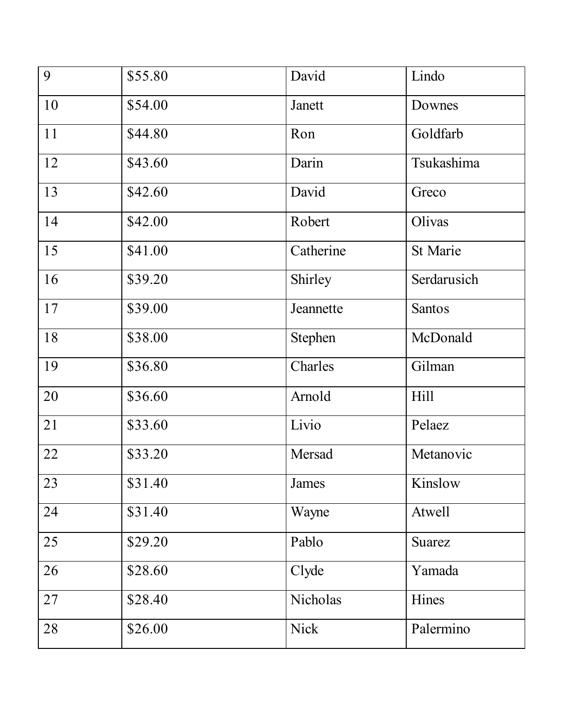| 9  | \$55.80 | David       | Lindo         |
|----|---------|-------------|---------------|
| 10 | \$54.00 | Janett      | Downes        |
| 11 | \$44.80 | Ron         | Goldfarb      |
| 12 | \$43.60 | Darin       | Tsukashima    |
| 13 | \$42.60 | David       | Greco         |
| 14 | \$42.00 | Robert      | Olivas        |
| 15 | \$41.00 | Catherine   | St Marie      |
| 16 | \$39.20 | Shirley     | Serdarusich   |
| 17 | \$39.00 | Jeannette   | <b>Santos</b> |
| 18 | \$38.00 | Stephen     | McDonald      |
| 19 | \$36.80 | Charles     | Gilman        |
| 20 | \$36.60 | Arnold      | <b>Hill</b>   |
| 21 | \$33.60 | Livio       | Pelaez        |
| 22 | \$33.20 | Mersad      | Metanovic     |
| 23 | \$31.40 | James       | Kinslow       |
| 24 | \$31.40 | Wayne       | Atwell        |
| 25 | \$29.20 | Pablo       | <b>Suarez</b> |
| 26 | \$28.60 | Clyde       | Yamada        |
| 27 | \$28.40 | Nicholas    | Hines         |
| 28 | \$26.00 | <b>Nick</b> | Palermino     |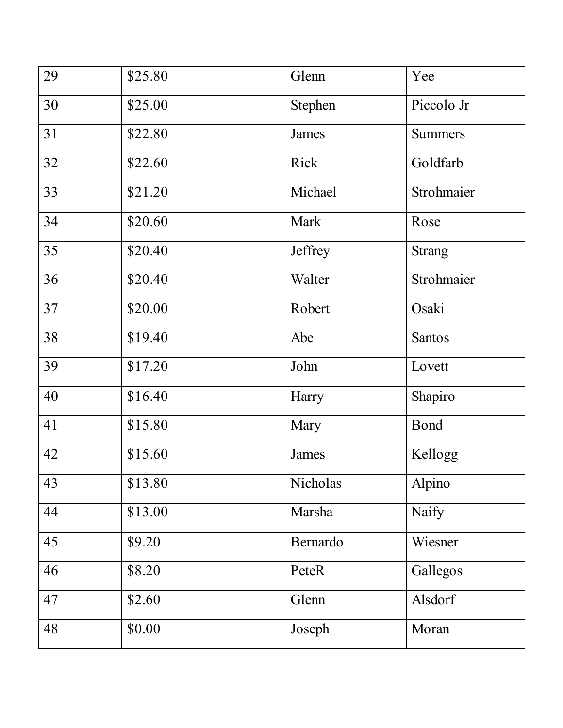| 29 | \$25.80 | Glenn    | Yee            |
|----|---------|----------|----------------|
| 30 | \$25.00 | Stephen  | Piccolo Jr     |
| 31 | \$22.80 | James    | <b>Summers</b> |
| 32 | \$22.60 | Rick     | Goldfarb       |
| 33 | \$21.20 | Michael  | Strohmaier     |
| 34 | \$20.60 | Mark     | Rose           |
| 35 | \$20.40 | Jeffrey  | <b>Strang</b>  |
| 36 | \$20.40 | Walter   | Strohmaier     |
| 37 | \$20.00 | Robert   | Osaki          |
| 38 | \$19.40 | Abe      | <b>Santos</b>  |
| 39 | \$17.20 | John     | Lovett         |
| 40 | \$16.40 | Harry    | Shapiro        |
| 41 | \$15.80 | Mary     | <b>Bond</b>    |
| 42 | \$15.60 | James    | Kellogg        |
| 43 | \$13.80 | Nicholas | Alpino         |
| 44 | \$13.00 | Marsha   | Naify          |
| 45 | \$9.20  | Bernardo | Wiesner        |
| 46 | \$8.20  | PeteR    | Gallegos       |
| 47 | \$2.60  | Glenn    | Alsdorf        |
| 48 | \$0.00  | Joseph   | Moran          |